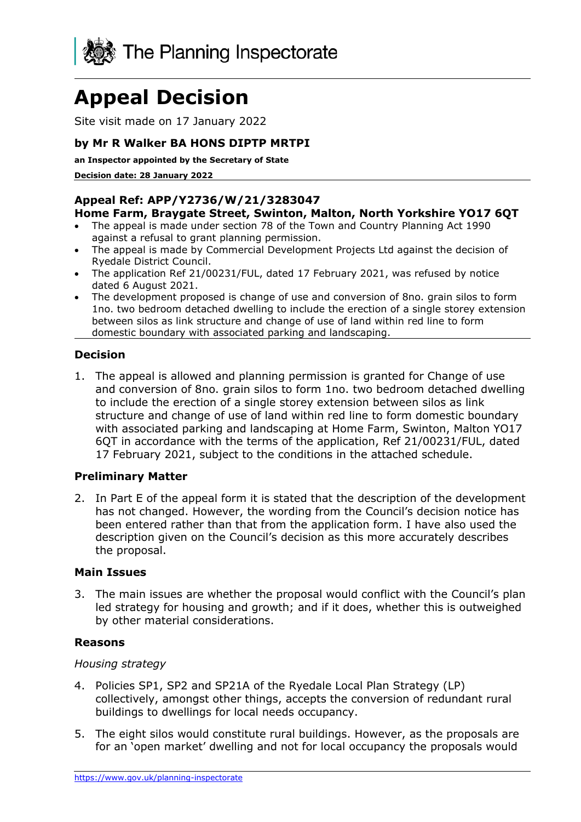

# **Appeal Decision**

Site visit made on 17 January 2022

# **by Mr R Walker BA HONS DIPTP MRTPI**

**an Inspector appointed by the Secretary of State** 

**Decision date: 28 January 2022**

#### **Appeal Ref: APP/Y2736/W/21/3283047 Home Farm, Braygate Street, Swinton, Malton, North Yorkshire YO17 6QT**

- The appeal is made under section 78 of the Town and Country Planning Act 1990 against a refusal to grant planning permission.
- The appeal is made by Commercial Development Projects Ltd against the decision of Ryedale District Council.
- The application Ref 21/00231/FUL, dated 17 February 2021, was refused by notice dated 6 August 2021.
- The development proposed is change of use and conversion of 8no. grain silos to form 1no. two bedroom detached dwelling to include the erection of a single storey extension between silos as link structure and change of use of land within red line to form domestic boundary with associated parking and landscaping.

## **Decision**

1. The appeal is allowed and planning permission is granted for Change of use and conversion of 8no. grain silos to form 1no. two bedroom detached dwelling to include the erection of a single storey extension between silos as link structure and change of use of land within red line to form domestic boundary with associated parking and landscaping at Home Farm, Swinton, Malton YO17 6QT in accordance with the terms of the application, Ref 21/00231/FUL, dated 17 February 2021, subject to the conditions in the attached schedule.

#### **Preliminary Matter**

2. In Part E of the appeal form it is stated that the description of the development has not changed. However, the wording from the Council's decision notice has been entered rather than that from the application form. I have also used the description given on the Council's decision as this more accurately describes the proposal.

#### **Main Issues**

3. The main issues are whether the proposal would conflict with the Council's plan led strategy for housing and growth; and if it does, whether this is outweighed by other material considerations.

#### **Reasons**

#### *Housing strategy*

- 4. Policies SP1, SP2 and SP21A of the Ryedale Local Plan Strategy (LP) collectively, amongst other things, accepts the conversion of redundant rural buildings to dwellings for local needs occupancy.
- 5. The eight silos would constitute rural buildings. However, as the proposals are for an 'open market' dwelling and not for local occupancy the proposals would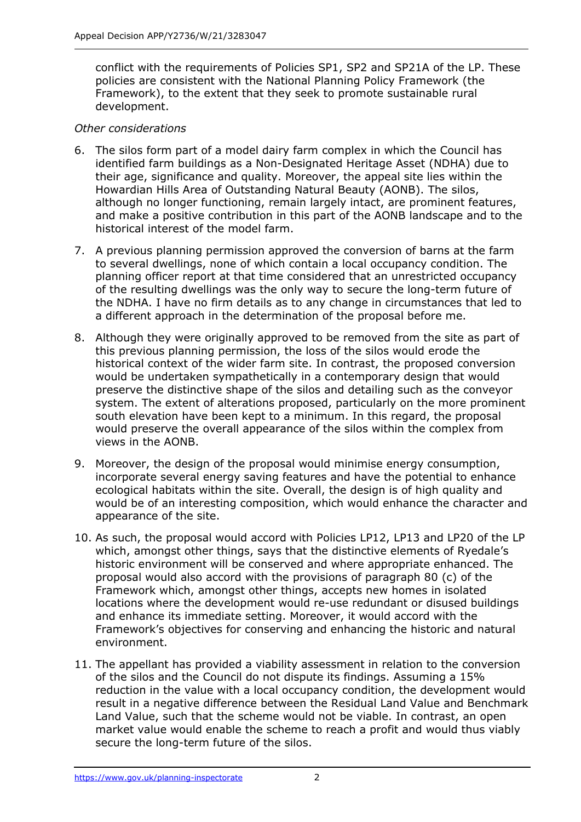conflict with the requirements of Policies SP1, SP2 and SP21A of the LP. These policies are consistent with the National Planning Policy Framework (the Framework), to the extent that they seek to promote sustainable rural development.

## *Other considerations*

- 6. The silos form part of a model dairy farm complex in which the Council has identified farm buildings as a Non-Designated Heritage Asset (NDHA) due to their age, significance and quality. Moreover, the appeal site lies within the Howardian Hills Area of Outstanding Natural Beauty (AONB). The silos, although no longer functioning, remain largely intact, are prominent features, and make a positive contribution in this part of the AONB landscape and to the historical interest of the model farm.
- 7. A previous planning permission approved the conversion of barns at the farm to several dwellings, none of which contain a local occupancy condition. The planning officer report at that time considered that an unrestricted occupancy of the resulting dwellings was the only way to secure the long-term future of the NDHA. I have no firm details as to any change in circumstances that led to a different approach in the determination of the proposal before me.
- 8. Although they were originally approved to be removed from the site as part of this previous planning permission, the loss of the silos would erode the historical context of the wider farm site. In contrast, the proposed conversion would be undertaken sympathetically in a contemporary design that would preserve the distinctive shape of the silos and detailing such as the conveyor system. The extent of alterations proposed, particularly on the more prominent south elevation have been kept to a minimum. In this regard, the proposal would preserve the overall appearance of the silos within the complex from views in the AONB.
- 9. Moreover, the design of the proposal would minimise energy consumption, incorporate several energy saving features and have the potential to enhance ecological habitats within the site. Overall, the design is of high quality and would be of an interesting composition, which would enhance the character and appearance of the site.
- 10. As such, the proposal would accord with Policies LP12, LP13 and LP20 of the LP which, amongst other things, says that the distinctive elements of Ryedale's historic environment will be conserved and where appropriate enhanced. The proposal would also accord with the provisions of paragraph 80 (c) of the Framework which, amongst other things, accepts new homes in isolated locations where the development would re-use redundant or disused buildings and enhance its immediate setting. Moreover, it would accord with the Framework's objectives for conserving and enhancing the historic and natural environment.
- 11. The appellant has provided a viability assessment in relation to the conversion of the silos and the Council do not dispute its findings. Assuming a 15% reduction in the value with a local occupancy condition, the development would result in a negative difference between the Residual Land Value and Benchmark Land Value, such that the scheme would not be viable. In contrast, an open market value would enable the scheme to reach a profit and would thus viably secure the long-term future of the silos.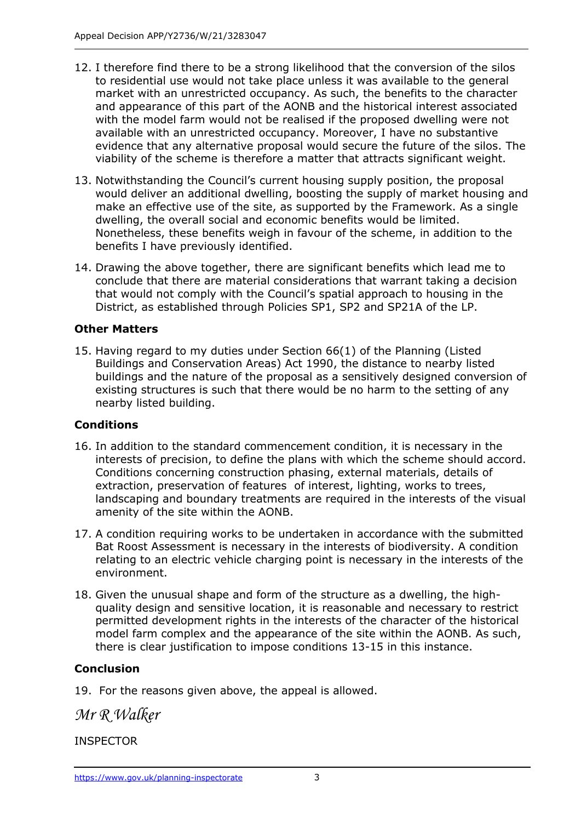- 12. I therefore find there to be a strong likelihood that the conversion of the silos to residential use would not take place unless it was available to the general market with an unrestricted occupancy. As such, the benefits to the character and appearance of this part of the AONB and the historical interest associated with the model farm would not be realised if the proposed dwelling were not available with an unrestricted occupancy. Moreover, I have no substantive evidence that any alternative proposal would secure the future of the silos. The viability of the scheme is therefore a matter that attracts significant weight.
- 13. Notwithstanding the Council's current housing supply position, the proposal would deliver an additional dwelling, boosting the supply of market housing and make an effective use of the site, as supported by the Framework. As a single dwelling, the overall social and economic benefits would be limited. Nonetheless, these benefits weigh in favour of the scheme, in addition to the benefits I have previously identified.
- 14. Drawing the above together, there are significant benefits which lead me to conclude that there are material considerations that warrant taking a decision that would not comply with the Council's spatial approach to housing in the District, as established through Policies SP1, SP2 and SP21A of the LP.

## **Other Matters**

15. Having regard to my duties under Section 66(1) of the Planning (Listed Buildings and Conservation Areas) Act 1990, the distance to nearby listed buildings and the nature of the proposal as a sensitively designed conversion of existing structures is such that there would be no harm to the setting of any nearby listed building.

# **Conditions**

- 16. In addition to the standard commencement condition, it is necessary in the interests of precision, to define the plans with which the scheme should accord. Conditions concerning construction phasing, external materials, details of extraction, preservation of features of interest, lighting, works to trees, landscaping and boundary treatments are required in the interests of the visual amenity of the site within the AONB.
- 17. A condition requiring works to be undertaken in accordance with the submitted Bat Roost Assessment is necessary in the interests of biodiversity. A condition relating to an electric vehicle charging point is necessary in the interests of the environment.
- 18. Given the unusual shape and form of the structure as a dwelling, the highquality design and sensitive location, it is reasonable and necessary to restrict permitted development rights in the interests of the character of the historical model farm complex and the appearance of the site within the AONB. As such, there is clear justification to impose conditions 13-15 in this instance.

# **Conclusion**

19. For the reasons given above, the appeal is allowed.

*Mr R Walker*

INSPECTOR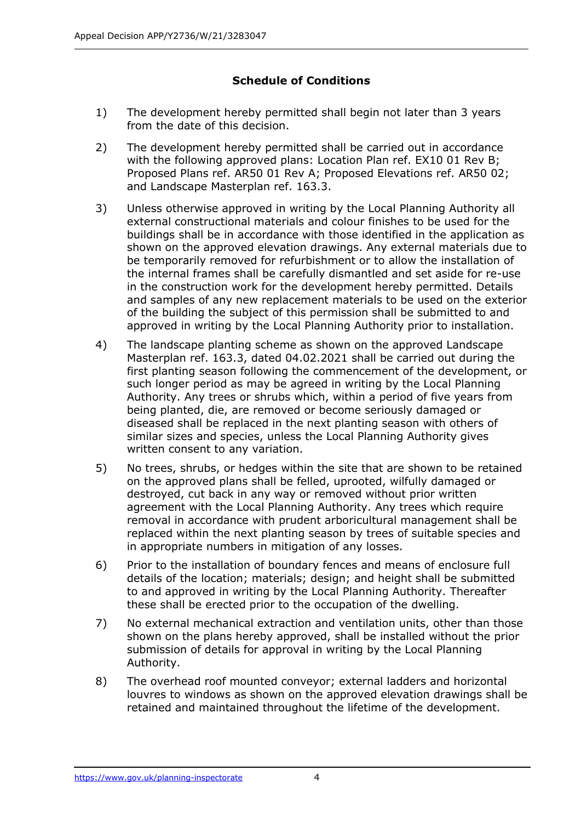# **Schedule of Conditions**

- 1) The development hereby permitted shall begin not later than 3 years from the date of this decision.
- 2) The development hereby permitted shall be carried out in accordance with the following approved plans: Location Plan ref. EX10 01 Rev B; Proposed Plans ref. AR50 01 Rev A; Proposed Elevations ref. AR50 02; and Landscape Masterplan ref. 163.3.
- 3) Unless otherwise approved in writing by the Local Planning Authority all external constructional materials and colour finishes to be used for the buildings shall be in accordance with those identified in the application as shown on the approved elevation drawings. Any external materials due to be temporarily removed for refurbishment or to allow the installation of the internal frames shall be carefully dismantled and set aside for re-use in the construction work for the development hereby permitted. Details and samples of any new replacement materials to be used on the exterior of the building the subject of this permission shall be submitted to and approved in writing by the Local Planning Authority prior to installation.
- 4) The landscape planting scheme as shown on the approved Landscape Masterplan ref. 163.3, dated 04.02.2021 shall be carried out during the first planting season following the commencement of the development, or such longer period as may be agreed in writing by the Local Planning Authority. Any trees or shrubs which, within a period of five years from being planted, die, are removed or become seriously damaged or diseased shall be replaced in the next planting season with others of similar sizes and species, unless the Local Planning Authority gives written consent to any variation.
- 5) No trees, shrubs, or hedges within the site that are shown to be retained on the approved plans shall be felled, uprooted, wilfully damaged or destroyed, cut back in any way or removed without prior written agreement with the Local Planning Authority. Any trees which require removal in accordance with prudent arboricultural management shall be replaced within the next planting season by trees of suitable species and in appropriate numbers in mitigation of any losses.
- 6) Prior to the installation of boundary fences and means of enclosure full details of the location; materials; design; and height shall be submitted to and approved in writing by the Local Planning Authority. Thereafter these shall be erected prior to the occupation of the dwelling.
- 7) No external mechanical extraction and ventilation units, other than those shown on the plans hereby approved, shall be installed without the prior submission of details for approval in writing by the Local Planning Authority.
- 8) The overhead roof mounted conveyor; external ladders and horizontal louvres to windows as shown on the approved elevation drawings shall be retained and maintained throughout the lifetime of the development.